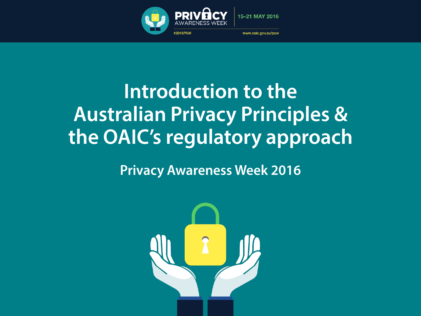

#### Introduction to the **Australian Privacy Principles &** the OAIC's regulatory approach

#### **Privacy Awareness Week 2016**

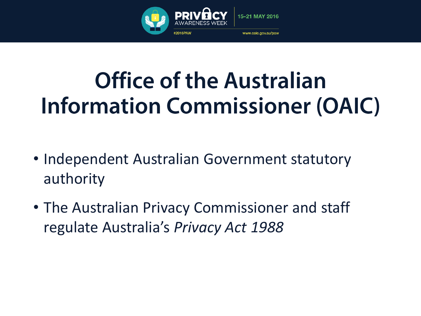

#### **Office of the Australian Information Commissioner (OAIC)**

- Independent Australian Government statutory authority
- The Australian Privacy Commissioner and staff regulate Australia's *Privacy Act 1988*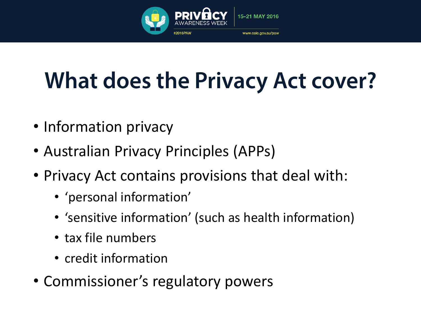

## **What does the Privacy Act cover?**

- Information privacy
- Australian Privacy Principles (APPs)
- Privacy Act contains provisions that deal with:
	- 'personal information'
	- 'sensitive information' (such as health information)
	- tax file numbers
	- credit information
- Commissioner's regulatory powers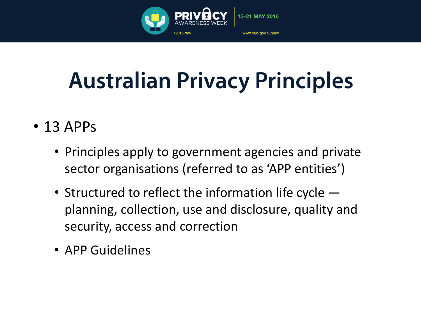

## **Australian Privacy Principles**

- 13 APPs
	- Principles apply to government agencies and private sector organisations (referred to as 'APP entities')
	- Structured to reflect the information life cycle  $$ planning, collection, use and disclosure, quality and security, access and correction
	- APP Guidelines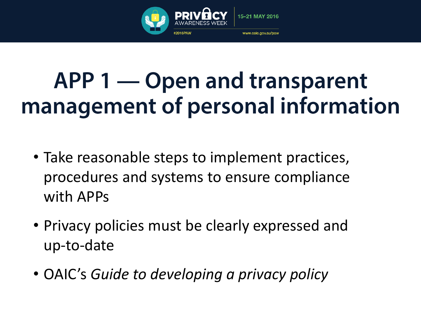

#### APP 1 — Open and transparent management of personal information

- Take reasonable steps to implement practices, procedures and systems to ensure compliance with APPs
- Privacy policies must be clearly expressed and up-to-date
- OAIC's *Guide to developing a privacy policy*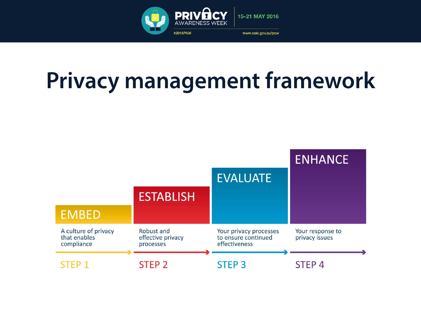

## **Privacy management framework**

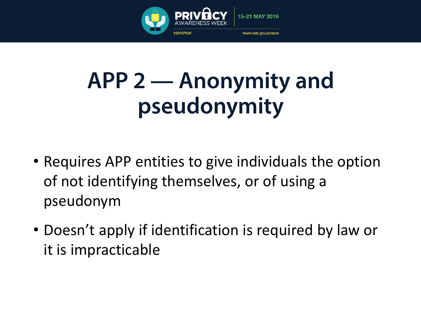

#### **APP 2 — Anonymity and** pseudonymity

- Requires APP entities to give individuals the option of not identifying themselves, or of using a pseudonym
- Doesn't apply if identification is required by law or it is impracticable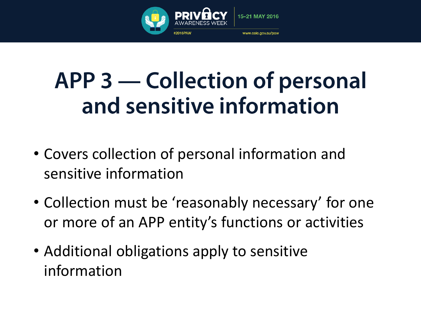

#### **APP 3 — Collection of personal** and sensitive information

- Covers collection of personal information and sensitive information
- Collection must be 'reasonably necessary' for one or more of an APP entity's functions or activities
- Additional obligations apply to sensitive information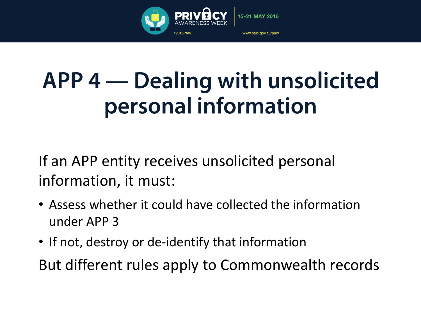

#### APP 4 — Dealing with unsolicited personal information

If an APP entity receives unsolicited personal information, it must:

- Assess whether it could have collected the information under APP 3
- If not, destroy or de-identify that information

But different rules apply to Commonwealth records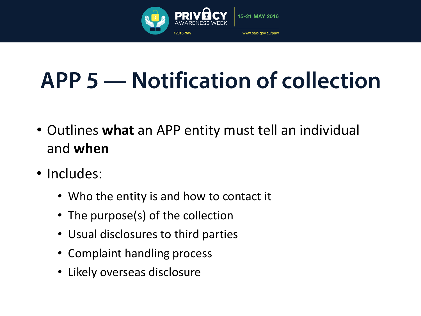

## **APP 5 — Notification of collection**

- Outlines **what** an APP entity must tell an individual and **when**
- Includes:
	- Who the entity is and how to contact it
	- The purpose(s) of the collection
	- Usual disclosures to third parties
	- Complaint handling process
	- Likely overseas disclosure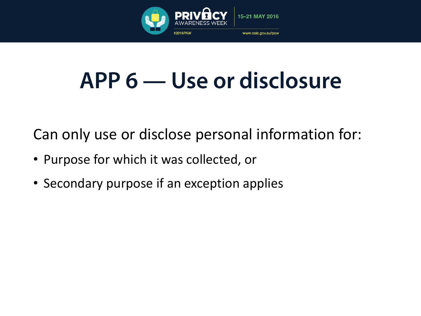

#### APP 6 — Use or disclosure

Can only use or disclose personal information for:

- Purpose for which it was collected, or
- Secondary purpose if an exception applies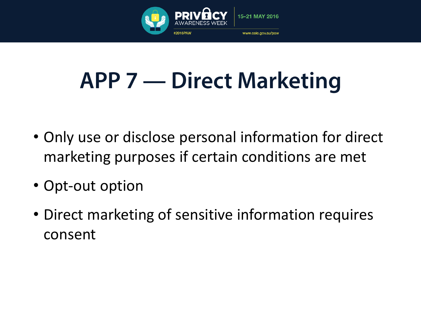

## **APP 7 — Direct Marketing**

- Only use or disclose personal information for direct marketing purposes if certain conditions are met
- Opt-out option
- Direct marketing of sensitive information requires consent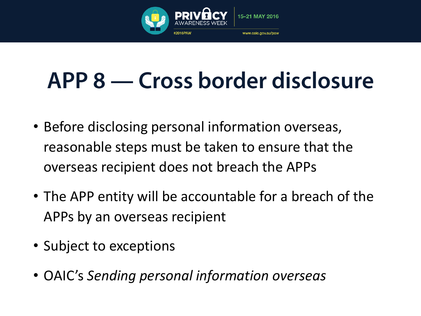

## APP 8 — Cross border disclosure

- Before disclosing personal information overseas, reasonable steps must be taken to ensure that the overseas recipient does not breach the APPs
- The APP entity will be accountable for a breach of the APPs by an overseas recipient
- Subject to exceptions
- OAIC's *Sending personal information overseas*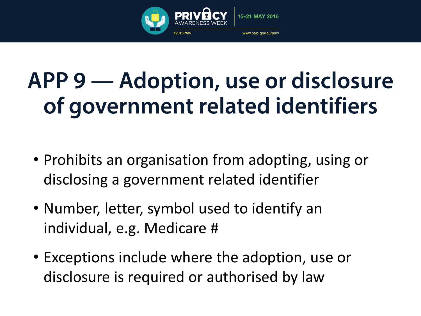

## APP 9 - Adoption, use or disclosure of government related identifiers

- Prohibits an organisation from adopting, using or disclosing a government related identifier
- Number, letter, symbol used to identify an individual, e.g. Medicare #
- Exceptions include where the adoption, use or disclosure is required or authorised by law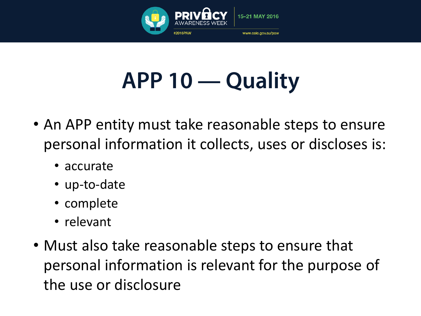

## APP 10 — Quality

- An APP entity must take reasonable steps to ensure personal information it collects, uses or discloses is:
	- accurate
	- up-to-date
	- complete
	- relevant
- Must also take reasonable steps to ensure that personal information is relevant for the purpose of the use or disclosure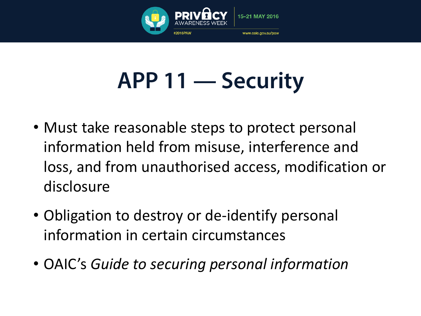

## **APP 11 — Security**

- Must take reasonable steps to protect personal information held from misuse, interference and loss, and from unauthorised access, modification or disclosure
- Obligation to destroy or de-identify personal information in certain circumstances
- OAIC's *Guide to securing personal information*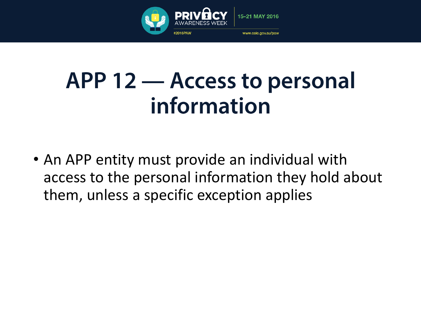

#### APP 12 – Access to personal information

• An APP entity must provide an individual with access to the personal information they hold about them, unless a specific exception applies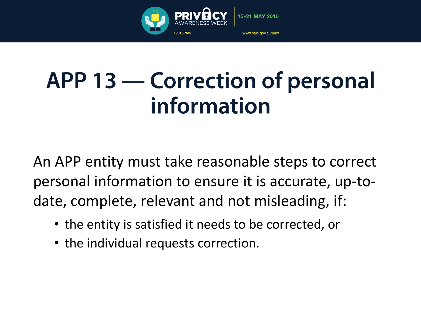

#### **APP 13 — Correction of personal** information

An APP entity must take reasonable steps to correct personal information to ensure it is accurate, up-todate, complete, relevant and not misleading, if:

- the entity is satisfied it needs to be corrected, or
- the individual requests correction.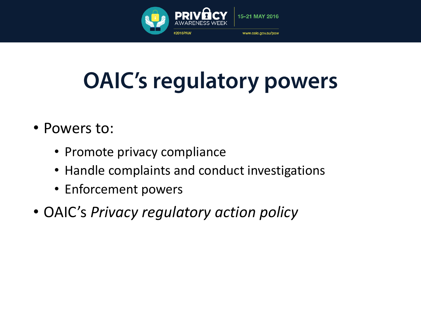

## **OAIC's regulatory powers**

- Powers to:
	- Promote privacy compliance
	- Handle complaints and conduct investigations
	- Enforcement powers
- OAIC's *Privacy regulatory action policy*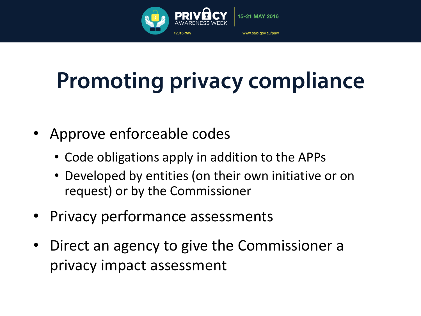

## **Promoting privacy compliance**

- Approve enforceable codes
	- Code obligations apply in addition to the APPs
	- Developed by entities (on their own initiative or on request) or by the Commissioner
- Privacy performance assessments
- Direct an agency to give the Commissioner a privacy impact assessment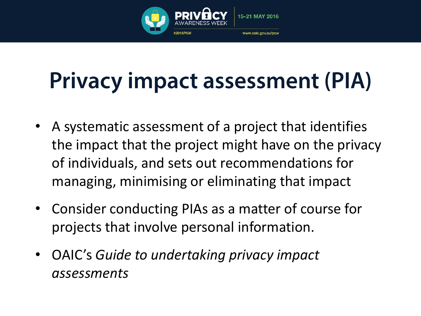

## **Privacy impact assessment (PIA)**

- A systematic assessment of a project that identifies the impact that the project might have on the privacy of individuals, and sets out recommendations for managing, minimising or eliminating that impact
- Consider conducting PIAs as a matter of course for projects that involve personal information.
- OAIC's *Guide to undertaking privacy impact assessments*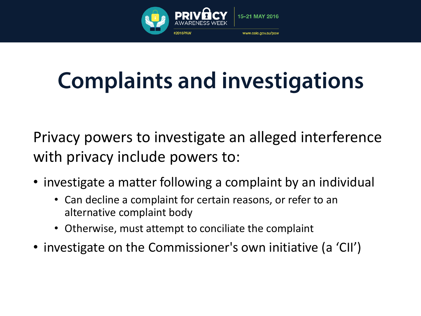

## **Complaints and investigations**

Privacy powers to investigate an alleged interference with privacy include powers to:

- investigate a matter following a complaint by an individual
	- Can decline a complaint for certain reasons, or refer to an alternative complaint body
	- Otherwise, must attempt to conciliate the complaint
- investigate on the Commissioner's own initiative (a 'CII')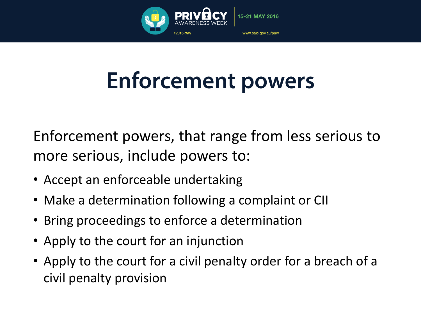

## **Enforcement powers**

Enforcement powers, that range from less serious to more serious, include powers to:

- Accept an enforceable undertaking
- Make a determination following a complaint or CII
- Bring proceedings to enforce a determination
- Apply to the court for an injunction
- Apply to the court for a civil penalty order for a breach of a civil penalty provision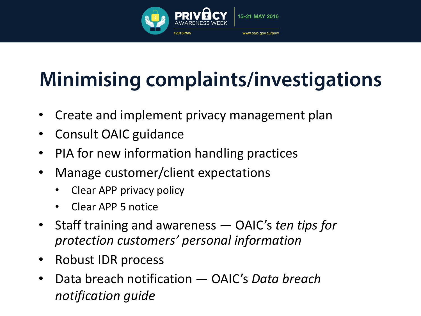

#### **Minimising complaints/investigations**

- Create and implement privacy management plan
- Consult OAIC guidance
- PIA for new information handling practices
- Manage customer/client expectations
	- Clear APP privacy policy
	- Clear APP 5 notice
- Staff training and awareness OAIC's *ten tips for protection customers' personal information*
- Robust IDR process
- Data breach notification OAIC's *Data breach notification guide*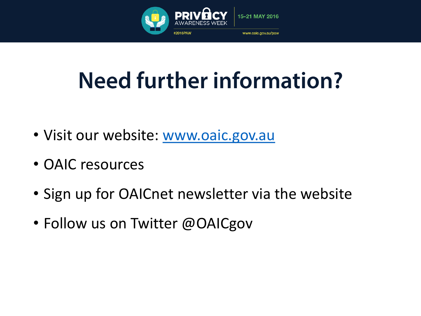

## **Need further information?**

- Visit our website: [www.oaic.gov.au](http://www.oaic.gov.au/)
- OAIC resources
- Sign up for OAICnet newsletter via the website
- Follow us on Twitter @OAICgov